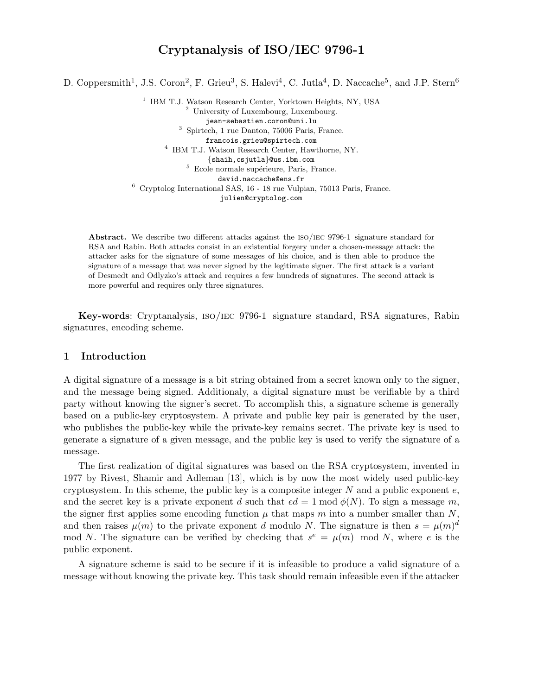# Cryptanalysis of ISO/IEC 9796-1

D. Coppersmith<sup>1</sup>, J.S. Coron<sup>2</sup>, F. Grieu<sup>3</sup>, S. Halevi<sup>4</sup>, C. Jutla<sup>4</sup>, D. Naccache<sup>5</sup>, and J.P. Stern<sup>6</sup>

<sup>1</sup> IBM T.J. Watson Research Center, Yorktown Heights, NY, USA <sup>2</sup> University of Luxembourg, Luxembourg. jean-sebastien.coron@uni.lu <sup>3</sup> Spirtech, 1 rue Danton, 75006 Paris, France. francois.grieu@spirtech.com 4 IBM T.J. Watson Research Center, Hawthorne, NY. {shaih,csjutla}@us.ibm.com  $5$  Ecole normale supérieure, Paris, France. david.naccache@ens.fr <sup>6</sup> Cryptolog International SAS, 16 - 18 rue Vulpian, 75013 Paris, France. julien@cryptolog.com

Abstract. We describe two different attacks against the iso/iec 9796-1 signature standard for RSA and Rabin. Both attacks consist in an existential forgery under a chosen-message attack: the attacker asks for the signature of some messages of his choice, and is then able to produce the signature of a message that was never signed by the legitimate signer. The first attack is a variant of Desmedt and Odlyzko's attack and requires a few hundreds of signatures. The second attack is more powerful and requires only three signatures.

Key-words: Cryptanalysis, iso/iec 9796-1 signature standard, RSA signatures, Rabin signatures, encoding scheme.

## 1 Introduction

A digital signature of a message is a bit string obtained from a secret known only to the signer, and the message being signed. Additionaly, a digital signature must be verifiable by a third party without knowing the signer's secret. To accomplish this, a signature scheme is generally based on a public-key cryptosystem. A private and public key pair is generated by the user, who publishes the public-key while the private-key remains secret. The private key is used to generate a signature of a given message, and the public key is used to verify the signature of a message.

The first realization of digital signatures was based on the RSA cryptosystem, invented in 1977 by Rivest, Shamir and Adleman [13], which is by now the most widely used public-key cryptosystem. In this scheme, the public key is a composite integer N and a public exponent  $e$ , and the secret key is a private exponent d such that  $ed = 1 \text{ mod } \phi(N)$ . To sign a message m, the signer first applies some encoding function  $\mu$  that maps m into a number smaller than N, and then raises  $\mu(m)$  to the private exponent d modulo N. The signature is then  $s = \mu(m)^d$ mod N. The signature can be verified by checking that  $s^e = \mu(m) \mod N$ , where e is the public exponent.

A signature scheme is said to be secure if it is infeasible to produce a valid signature of a message without knowing the private key. This task should remain infeasible even if the attacker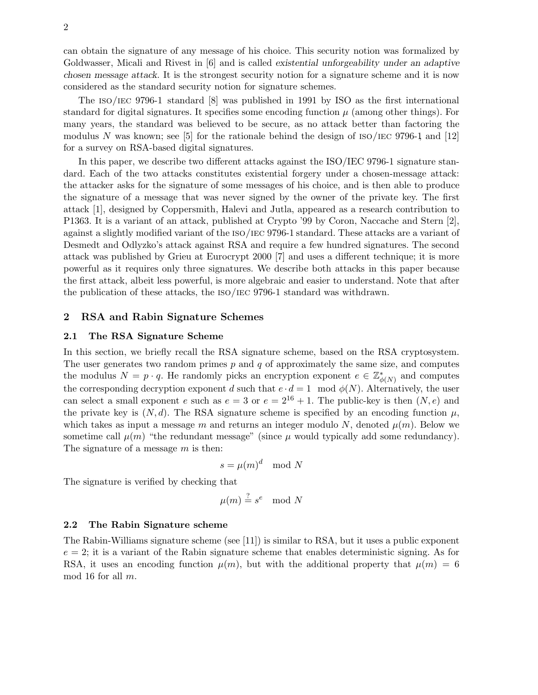can obtain the signature of any message of his choice. This security notion was formalized by Goldwasser, Micali and Rivest in [6] and is called existential unforgeability under an adaptive chosen message attack. It is the strongest security notion for a signature scheme and it is now considered as the standard security notion for signature schemes.

The iso/iec 9796-1 standard [8] was published in 1991 by ISO as the first international standard for digital signatures. It specifies some encoding function  $\mu$  (among other things). For many years, the standard was believed to be secure, as no attack better than factoring the modulus N was known; see [5] for the rationale behind the design of  $\text{ISO}/\text{IEC}$  9796-1 and [12] for a survey on RSA-based digital signatures.

In this paper, we describe two different attacks against the ISO/IEC 9796-1 signature standard. Each of the two attacks constitutes existential forgery under a chosen-message attack: the attacker asks for the signature of some messages of his choice, and is then able to produce the signature of a message that was never signed by the owner of the private key. The first attack [1], designed by Coppersmith, Halevi and Jutla, appeared as a research contribution to P1363. It is a variant of an attack, published at Crypto '99 by Coron, Naccache and Stern [2], against a slightly modified variant of the iso/iec 9796-1 standard. These attacks are a variant of Desmedt and Odlyzko's attack against RSA and require a few hundred signatures. The second attack was published by Grieu at Eurocrypt 2000 [7] and uses a different technique; it is more powerful as it requires only three signatures. We describe both attacks in this paper because the first attack, albeit less powerful, is more algebraic and easier to understand. Note that after the publication of these attacks, the iso/iec 9796-1 standard was withdrawn.

## 2 RSA and Rabin Signature Schemes

## 2.1 The RSA Signature Scheme

In this section, we briefly recall the RSA signature scheme, based on the RSA cryptosystem. The user generates two random primes  $p$  and  $q$  of approximately the same size, and computes the modulus  $N = p \cdot q$ . He randomly picks an encryption exponent  $e \in \mathbb{Z}_{\phi}^*$  $\phi(N)$  and computes the corresponding decryption exponent d such that  $e \cdot d = 1 \mod \phi(N)$ . Alternatively, the user can select a small exponent e such as  $e = 3$  or  $e = 2^{16} + 1$ . The public-key is then  $(N, e)$  and the private key is  $(N, d)$ . The RSA signature scheme is specified by an encoding function  $\mu$ , which takes as input a message m and returns an integer modulo N, denoted  $\mu(m)$ . Below we sometime call  $\mu(m)$  "the redundant message" (since  $\mu$  would typically add some redundancy). The signature of a message m is then:

$$
s = \mu(m)^d \mod N
$$

The signature is verified by checking that

$$
\mu(m) \stackrel{?}{=} s^e \mod N
$$

## 2.2 The Rabin Signature scheme

The Rabin-Williams signature scheme (see [11]) is similar to RSA, but it uses a public exponent  $e = 2$ ; it is a variant of the Rabin signature scheme that enables deterministic signing. As for RSA, it uses an encoding function  $\mu(m)$ , but with the additional property that  $\mu(m) = 6$ mod 16 for all m.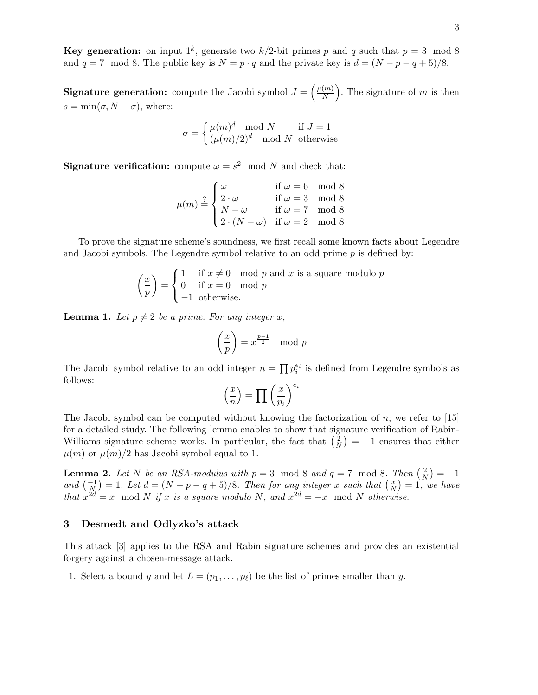**Key generation:** on input  $1^k$ , generate two  $k/2$ -bit primes p and q such that  $p = 3 \mod 8$ and  $q = 7 \mod 8$ . The public key is  $N = p \cdot q$  and the private key is  $d = (N - p - q + 5)/8$ .

**Signature generation:** compute the Jacobi symbol  $J = \left(\frac{\mu(m)}{N}\right)$ N ). The signature of  $m$  is then  $s = \min(\sigma, N - \sigma)$ , where:

$$
\sigma = \begin{cases} \mu(m)^d \mod N & \text{if } J = 1\\ (\mu(m)/2)^d \mod N & \text{otherwise} \end{cases}
$$

**Signature verification:** compute  $\omega = s^2 \mod N$  and check that:

$$
\mu(m) \stackrel{?}{=} \begin{cases}\n\omega & \text{if } \omega = 6 \mod 8 \\
2 \cdot \omega & \text{if } \omega = 3 \mod 8 \\
N - \omega & \text{if } \omega = 7 \mod 8 \\
2 \cdot (N - \omega) & \text{if } \omega = 2 \mod 8\n\end{cases}
$$

To prove the signature scheme's soundness, we first recall some known facts about Legendre and Jacobi symbols. The Legendre symbol relative to an odd prime  $p$  is defined by:

$$
\left(\frac{x}{p}\right) = \begin{cases} 1 & \text{if } x \neq 0 \mod p \text{ and } x \text{ is a square modulo } p \\ 0 & \text{if } x = 0 \mod p \\ -1 & \text{otherwise.} \end{cases}
$$

**Lemma 1.** Let  $p \neq 2$  be a prime. For any integer x,

$$
\left(\frac{x}{p}\right) = x^{\frac{p-1}{2}} \mod p
$$

The Jacobi symbol relative to an odd integer  $n = \prod p_i^{e_i}$  is defined from Legendre symbols as follows:

$$
\left(\frac{x}{n}\right) = \prod \left(\frac{x}{p_i}\right)^{e_i}
$$

The Jacobi symbol can be computed without knowing the factorization of n; we refer to  $[15]$ for a detailed study. The following lemma enables to show that signature verification of Rabin-Williams signature scheme works. In particular, the fact that  $\left(\frac{2}{N}\right)$  $\left(\frac{2}{N}\right) = -1$  ensures that either  $\mu(m)$  or  $\mu(m)/2$  has Jacobi symbol equal to 1.

**Lemma 2.** Let N be an RSA-modulus with  $p = 3 \mod 8$  and  $q = 7 \mod 8$ . Then  $\left(\frac{2}{N}\right) = -1$ **EXECUTE:** Note that  $\frac{1}{N}$  and  $\left(\frac{-1}{N}\right) = 1$ . Let  $d = (N - p - q + 5)/8$ . Then for any integer x such that  $\left(\frac{x}{N}\right) = 1$ ,  $\left(\frac{x}{N}\right) = 1$ , we have that  $x^{2d} = x \mod N$  if x is a square modulo N, and  $x^{2d} = -x \mod N$  otherwise.

## 3 Desmedt and Odlyzko's attack

This attack [3] applies to the RSA and Rabin signature schemes and provides an existential forgery against a chosen-message attack.

1. Select a bound y and let  $L = (p_1, \ldots, p_\ell)$  be the list of primes smaller than y.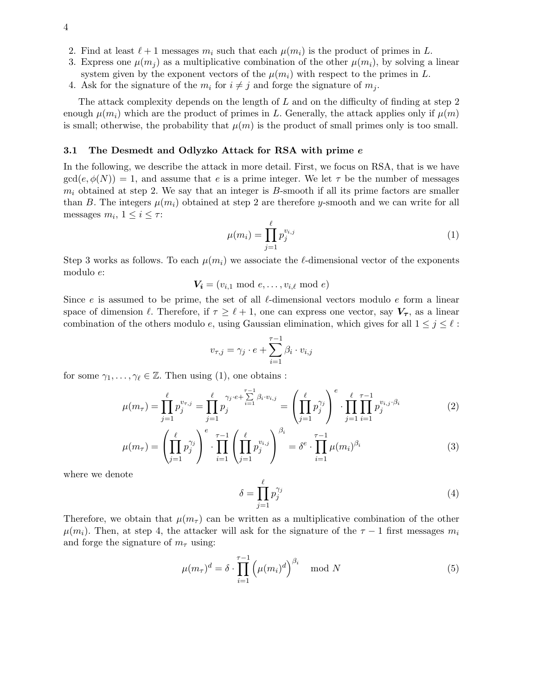- 2. Find at least  $\ell+1$  messages  $m_i$  such that each  $\mu(m_i)$  is the product of primes in L.
- 3. Express one  $\mu(m_i)$  as a multiplicative combination of the other  $\mu(m_i)$ , by solving a linear system given by the exponent vectors of the  $\mu(m_i)$  with respect to the primes in L.
- 4. Ask for the signature of the  $m_i$  for  $i \neq j$  and forge the signature of  $m_j$ .

The attack complexity depends on the length of L and on the difficulty of finding at step 2 enough  $\mu(m_i)$  which are the product of primes in L. Generally, the attack applies only if  $\mu(m)$ is small; otherwise, the probability that  $\mu(m)$  is the product of small primes only is too small.

#### 3.1 The Desmedt and Odlyzko Attack for RSA with prime e

In the following, we describe the attack in more detail. First, we focus on RSA, that is we have  $gcd(e, \phi(N)) = 1$ , and assume that e is a prime integer. We let  $\tau$  be the number of messages  $m_i$  obtained at step 2. We say that an integer is B-smooth if all its prime factors are smaller than B. The integers  $\mu(m_i)$  obtained at step 2 are therefore y-smooth and we can write for all messages  $m_i$ ,  $1 \leq i \leq \tau$ :

$$
\mu(m_i) = \prod_{j=1}^{\ell} p_j^{v_{i,j}} \tag{1}
$$

Step 3 works as follows. To each  $\mu(m_i)$  we associate the  $\ell$ -dimensional vector of the exponents modulo e:

 $V_i = (v_{i,1} \mod e, \ldots, v_{i,\ell} \mod e)$ 

Since e is assumed to be prime, the set of all  $\ell$ -dimensional vectors modulo e form a linear space of dimension  $\ell$ . Therefore, if  $\tau \geq \ell + 1$ , one can express one vector, say  $V_{\tau}$ , as a linear combination of the others modulo e, using Gaussian elimination, which gives for all  $1 \leq j \leq \ell$ :

$$
v_{\tau,j} = \gamma_j \cdot e + \sum_{i=1}^{\tau-1} \beta_i \cdot v_{i,j}
$$

for some  $\gamma_1,\ldots,\gamma_\ell\in\mathbb{Z}$ . Then using (1), one obtains :

$$
\mu(m_{\tau}) = \prod_{j=1}^{\ell} p_j^{v_{\tau,j}} = \prod_{j=1}^{\ell} p_j^{v_j \cdot e + \sum_{i=1}^{\tau-1} \beta_i \cdot v_{i,j}} = \left( \prod_{j=1}^{\ell} p_j^{\gamma_j} \right)^e \cdot \prod_{j=1}^{\ell} \prod_{i=1}^{\tau-1} p_j^{v_{i,j} \cdot \beta_i} \tag{2}
$$

$$
\mu(m_{\tau}) = \left(\prod_{j=1}^{\ell} p_j^{\gamma_j} \right)^{e} \cdot \prod_{i=1}^{\tau-1} \left(\prod_{j=1}^{\ell} p_j^{v_{i,j}} \right)^{\beta_i} = \delta^{e} \cdot \prod_{i=1}^{\tau-1} \mu(m_i)^{\beta_i} \tag{3}
$$

where we denote

$$
\delta = \prod_{j=1}^{\ell} p_j^{\gamma_j} \tag{4}
$$

Therefore, we obtain that  $\mu(m_{\tau})$  can be written as a multiplicative combination of the other  $\mu(m_i)$ . Then, at step 4, the attacker will ask for the signature of the  $\tau - 1$  first messages  $m_i$ and forge the signature of  $m<sub>\tau</sub>$  using:

$$
\mu(m_{\tau})^d = \delta \cdot \prod_{i=1}^{\tau-1} \left( \mu(m_i)^d \right)^{\beta_i} \mod N \tag{5}
$$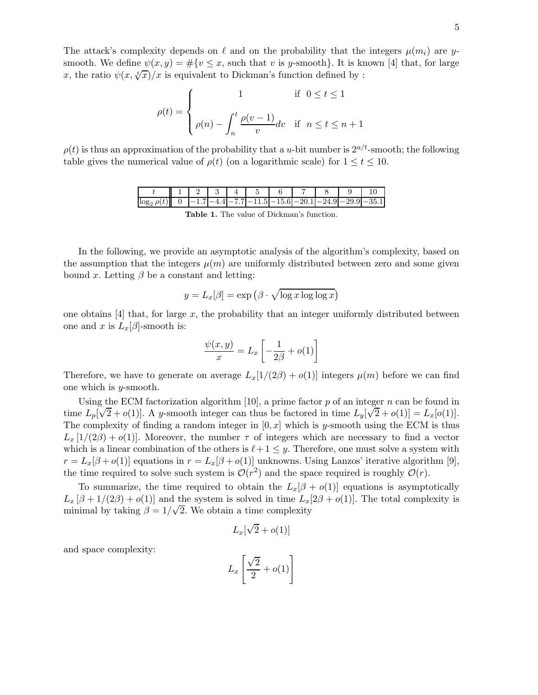The attack's complexity depends on  $\ell$  and on the probability that the integers  $\mu(m_i)$  are ysmooth. We define  $\psi(x,y) = \#\{v \leq x, \text{ such that } v \text{ is } y\text{-smooth}\}.$  It is known [4] that, for large x, the ratio  $\psi(x, \sqrt[t]{x})/x$  is equivalent to Dickman's function defined by :

$$
\rho(t) = \begin{cases}\n1 & \text{if } 0 \le t \le 1 \\
\rho(n) - \int_n^t \frac{\rho(v-1)}{v} dv & \text{if } n \le t \le n+1\n\end{cases}
$$

 $\rho(t)$  is thus an approximation of the probability that a u-bit number is  $2^{u/t}$ -smooth; the following table gives the numerical value of  $\rho(t)$  (on a logarithmic scale) for  $1 \le t \le 10$ .

|     |                |  | $\sim$ |              |  |  |
|-----|----------------|--|--------|--------------|--|--|
| log | $\overline{ }$ |  |        | $77$ 115 156 |  |  |

Table 1. The value of Dickman's function.

In the following, we provide an asymptotic analysis of the algorithm's complexity, based on the assumption that the integers  $\mu(m)$  are uniformly distributed between zero and some given bound x. Letting  $\beta$  be a constant and letting:

$$
y = L_x[\beta] = \exp\left(\beta \cdot \sqrt{\log x \log \log x}\right)
$$

one obtains  $[4]$  that, for large x, the probability that an integer uniformly distributed between one and x is  $L_x[\beta]$ -smooth is:

$$
\frac{\psi(x,y)}{x} = L_x \left[ -\frac{1}{2\beta} + o(1) \right]
$$

Therefore, we have to generate on average  $L_x[1/(2\beta) + o(1)]$  integers  $\mu(m)$  before we can find one which is y-smooth.

Using the ECM factorization algorithm [10], a prime factor  $p$  of an integer  $n$  can be found in time  $L_p[\sqrt{2}+o(1)]$ . A y-smooth integer can thus be factored in time  $L_y[\sqrt{2}+o(1)]=L_x[o(1)]$ . The complexity of finding a random integer in  $[0, x]$  which is y-smooth using the ECM is thus  $L_x$  [1/(2 $\beta$ ) +  $o(1)$ ]. Moreover, the number  $\tau$  of integers which are necessary to find a vector which is a linear combination of the others is  $\ell+1 \leq y$ . Therefore, one must solve a system with  $r = L_x[\beta + o(1)]$  equations in  $r = L_x[\beta + o(1)]$  unknowns. Using Lanzos' iterative algorithm [9], the time required to solve such system is  $\mathcal{O}(r^2)$  and the space required is roughly  $\mathcal{O}(r)$ .

To summarize, the time required to obtain the  $L_x[\beta + o(1)]$  equations is asymptotically  $L_x[\beta + 1/(2\beta) + o(1)]$  and the system is solved in time  $L_x[2\beta + o(1)]$ . The total complexity is minimal by taking  $\beta = 1/\sqrt{2}$ . We obtain a time complexity

$$
L_x[\sqrt{2} + o(1)]
$$

and space complexity:

$$
L_x \left[ \frac{\sqrt{2}}{2} + o(1) \right]
$$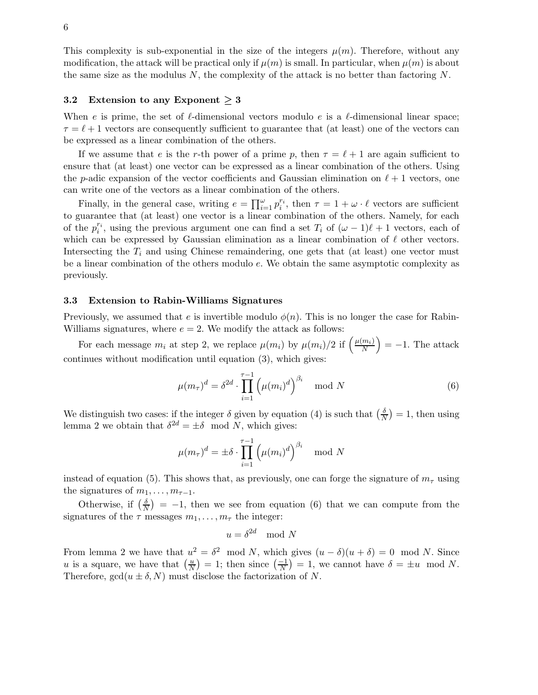This complexity is sub-exponential in the size of the integers  $\mu(m)$ . Therefore, without any modification, the attack will be practical only if  $\mu(m)$  is small. In particular, when  $\mu(m)$  is about the same size as the modulus  $N$ , the complexity of the attack is no better than factoring  $N$ .

## 3.2 Extension to any Exponent  $\geq 3$

When e is prime, the set of  $\ell$ -dimensional vectors modulo e is a  $\ell$ -dimensional linear space;  $\tau = \ell + 1$  vectors are consequently sufficient to guarantee that (at least) one of the vectors can be expressed as a linear combination of the others.

If we assume that e is the r-th power of a prime p, then  $\tau = \ell + 1$  are again sufficient to ensure that (at least) one vector can be expressed as a linear combination of the others. Using the p-adic expansion of the vector coefficients and Gaussian elimination on  $\ell + 1$  vectors, one can write one of the vectors as a linear combination of the others.

Finally, in the general case, writing  $e = \prod_{i=1}^{\omega} p_i^{r_i}$ , then  $\tau = 1 + \omega \cdot \ell$  vectors are sufficient to guarantee that (at least) one vector is a linear combination of the others. Namely, for each of the  $p_i^{r_i}$ , using the previous argument one can find a set  $T_i$  of  $(\omega - 1)\ell + 1$  vectors, each of which can be expressed by Gaussian elimination as a linear combination of  $\ell$  other vectors. Intersecting the  $T_i$  and using Chinese remaindering, one gets that (at least) one vector must be a linear combination of the others modulo e. We obtain the same asymptotic complexity as previously.

#### 3.3 Extension to Rabin-Williams Signatures

Previously, we assumed that e is invertible modulo  $\phi(n)$ . This is no longer the case for Rabin-Williams signatures, where  $e = 2$ . We modify the attack as follows:

For each message  $m_i$  at step 2, we replace  $\mu(m_i)$  by  $\mu(m_i)/2$  if  $\left(\frac{\mu(m_i)}{N}\right)$ N  $= -1.$  The attack continues without modification until equation (3), which gives:

$$
\mu(m_{\tau})^d = \delta^{2d} \cdot \prod_{i=1}^{\tau-1} \left( \mu(m_i)^d \right)^{\beta_i} \mod N
$$
\n(6)

We distinguish two cases: if the integer  $\delta$  given by equation (4) is such that  $\left(\frac{\delta}{\Delta}\right)$  $\frac{\delta}{N}$ ) = 1, then using lemma 2 we obtain that  $\delta^{2d} = \pm \delta \mod N$ , which gives:

$$
\mu(m_{\tau})^d = \pm \delta \cdot \prod_{i=1}^{\tau-1} \left( \mu(m_i)^d \right)^{\beta_i} \mod N
$$

instead of equation (5). This shows that, as previously, one can forge the signature of  $m<sub>\tau</sub>$  using the signatures of  $m_1, \ldots, m_{\tau-1}$ .

Otherwise, if  $\left(\frac{\delta}{\Delta}\right)$  $\left(\frac{\delta}{N}\right)$  = -1, then we see from equation (6) that we can compute from the signatures of the  $\tau$  messages  $m_1, \ldots, m_{\tau}$  the integer:

$$
u = \delta^{2d} \mod N
$$

From lemma 2 we have that  $u^2 = \delta^2 \mod N$ , which gives  $(u - \delta)(u + \delta) = 0 \mod N$ . Since u is a square, we have that  $\left(\frac{u}{N}\right)$  $\left(\frac{u}{N}\right) = 1$ ; then since  $\left(\frac{-1}{N}\right) = 1$ , we cannot have  $\delta = \pm u \mod N$ . Therefore,  $gcd(u \pm \delta, N)$  must disclose the factorization of N.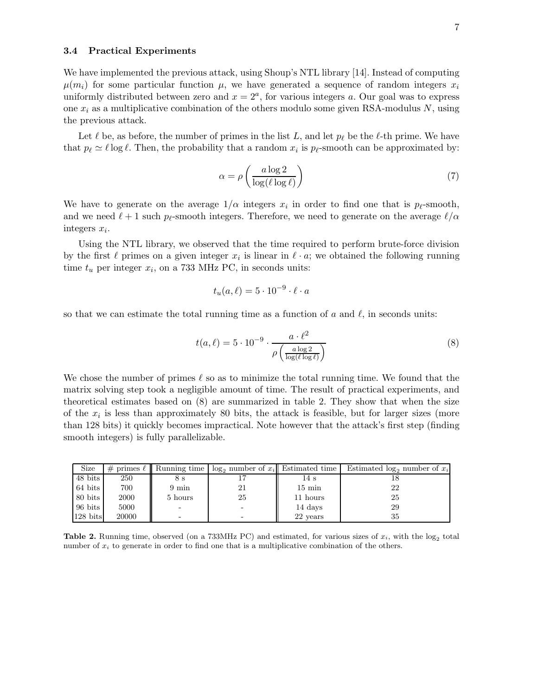#### 3.4 Practical Experiments

We have implemented the previous attack, using Shoup's NTL library [14]. Instead of computing  $\mu(m_i)$  for some particular function  $\mu$ , we have generated a sequence of random integers  $x_i$ uniformly distributed between zero and  $x = 2<sup>a</sup>$ , for various integers a. Our goal was to express one  $x_i$  as a multiplicative combination of the others modulo some given RSA-modulus N, using the previous attack.

Let  $\ell$  be, as before, the number of primes in the list L, and let  $p_{\ell}$  be the  $\ell$ -th prime. We have that  $p_{\ell} \simeq \ell \log \ell$ . Then, the probability that a random  $x_i$  is  $p_{\ell}$ -smooth can be approximated by:

$$
\alpha = \rho \left( \frac{a \log 2}{\log (\ell \log \ell)} \right) \tag{7}
$$

We have to generate on the average  $1/\alpha$  integers  $x_i$  in order to find one that is  $p_\ell$ -smooth, and we need  $\ell + 1$  such  $p_{\ell}$ -smooth integers. Therefore, we need to generate on the average  $\ell/\alpha$ integers  $x_i$ .

Using the NTL library, we observed that the time required to perform brute-force division by the first  $\ell$  primes on a given integer  $x_i$  is linear in  $\ell \cdot a$ ; we obtained the following running time  $t_u$  per integer  $x_i$ , on a 733 MHz PC, in seconds units:

$$
t_u(a,\ell) = 5 \cdot 10^{-9} \cdot \ell \cdot a
$$

so that we can estimate the total running time as a function of a and  $\ell$ , in seconds units:

$$
t(a,\ell) = 5 \cdot 10^{-9} \cdot \frac{a \cdot \ell^2}{\rho \left(\frac{a \log 2}{\log(\ell \log \ell)}\right)}
$$
(8)

We chose the number of primes  $\ell$  so as to minimize the total running time. We found that the matrix solving step took a negligible amount of time. The result of practical experiments, and theoretical estimates based on (8) are summarized in table 2. They show that when the size of the  $x_i$  is less than approximately 80 bits, the attack is feasible, but for larger sizes (more than 128 bits) it quickly becomes impractical. Note however that the attack's first step (finding smooth integers) is fully parallelizable.

| Size               |       | # primes $\ell \parallel$ Running time | $\log_2$ number of $x_i$ Estimated time |                  | Estimated $log_2$ number of $x_i$ |
|--------------------|-------|----------------------------------------|-----------------------------------------|------------------|-----------------------------------|
| 48 bits            | 250   | 85                                     |                                         | 14 s             |                                   |
| 64 bits            | 700   | $9 \text{ min}$                        | 21                                      | $15 \text{ min}$ | 22                                |
| 80 bits            | 2000  | 5 hours                                | 25                                      | 11 hours         | 25                                |
| 96 bits            | 5000  |                                        |                                         | 14 days          | 29                                |
| $128 \text{ bits}$ | 20000 |                                        |                                         | 22 years         | 35                                |

**Table 2.** Running time, observed (on a 733MHz PC) and estimated, for various sizes of  $x_i$ , with the log<sub>2</sub> total number of  $x_i$  to generate in order to find one that is a multiplicative combination of the others.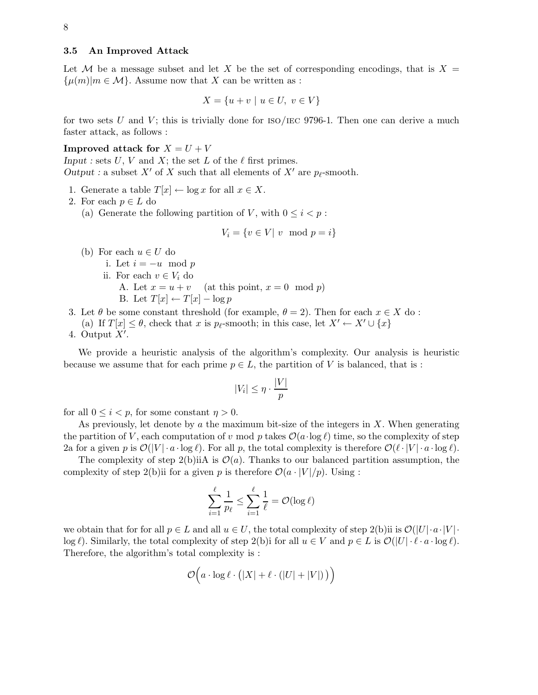## 3.5 An Improved Attack

Let M be a message subset and let X be the set of corresponding encodings, that is  $X =$  $\{\mu(m)|m \in \mathcal{M}\}\.$  Assume now that X can be written as :

$$
X = \{u + v \mid u \in U, \ v \in V\}
$$

for two sets U and V; this is trivially done for  $\rm ISO/IEC$  9796-1. Then one can derive a much faster attack, as follows :

## **Improved attack for**  $X = U + V$

Input : sets U, V and X; the set L of the  $\ell$  first primes. Output : a subset X' of X such that all elements of X' are  $p_{\ell}$ -smooth.

- 1. Generate a table  $T[x] \leftarrow \log x$  for all  $x \in X$ .
- 2. For each  $p \in L$  do
	- (a) Generate the following partition of V, with  $0 \leq i \leq p$ :

$$
V_i = \{ v \in V | v \mod p = i \}
$$

- (b) For each  $u \in U$  do
	- i. Let  $i = -u \mod p$
	- ii. For each  $v \in V_i$  do<br>A. Let  $x = u + v$ 
		- (at this point,  $x = 0 \mod p$ )
		- B. Let  $T[x] \leftarrow T[x] \log p$
- 3. Let  $\theta$  be some constant threshold (for example,  $\theta = 2$ ). Then for each  $x \in X$  do:
	- (a) If  $T[x] \leq \theta$ , check that x is  $p_{\ell}$ -smooth; in this case, let  $X' \leftarrow X' \cup \{x\}$
- 4. Output  $X'$ .

We provide a heuristic analysis of the algorithm's complexity. Our analysis is heuristic because we assume that for each prime  $p \in L$ , the partition of V is balanced, that is :

$$
|V_i| \le \eta \cdot \frac{|V|}{p}
$$

for all  $0 \leq i \leq p$ , for some constant  $\eta > 0$ .

As previously, let denote by  $\alpha$  the maximum bit-size of the integers in  $X$ . When generating the partition of V, each computation of v mod p takes  $\mathcal{O}(a \cdot \log \ell)$  time, so the complexity of step 2a for a given p is  $\mathcal{O}(|V| \cdot a \cdot \log \ell)$ . For all p, the total complexity is therefore  $\mathcal{O}(\ell \cdot |V| \cdot a \cdot \log \ell)$ .

The complexity of step 2(b)iiA is  $\mathcal{O}(a)$ . Thanks to our balanced partition assumption, the complexity of step 2(b)ii for a given p is therefore  $\mathcal{O}(a \cdot |V|/p)$ . Using :

$$
\sum_{i=1}^{\ell} \frac{1}{p_{\ell}} \le \sum_{i=1}^{\ell} \frac{1}{\ell} = \mathcal{O}(\log \ell)
$$

we obtain that for for all  $p \in L$  and all  $u \in U$ , the total complexity of step 2(b)ii is  $\mathcal{O}(|U| \cdot a \cdot |V| \cdot$  $\log \ell$ ). Similarly, the total complexity of step 2(b)i for all  $u \in V$  and  $p \in L$  is  $\mathcal{O}(|U| \cdot \ell \cdot a \cdot \log \ell)$ . Therefore, the algorithm's total complexity is :

$$
\mathcal{O}\Big(a\cdot\log\ell\cdot\big(|X|+\ell\cdot(|U|+|V|)\,\big)\Big)
$$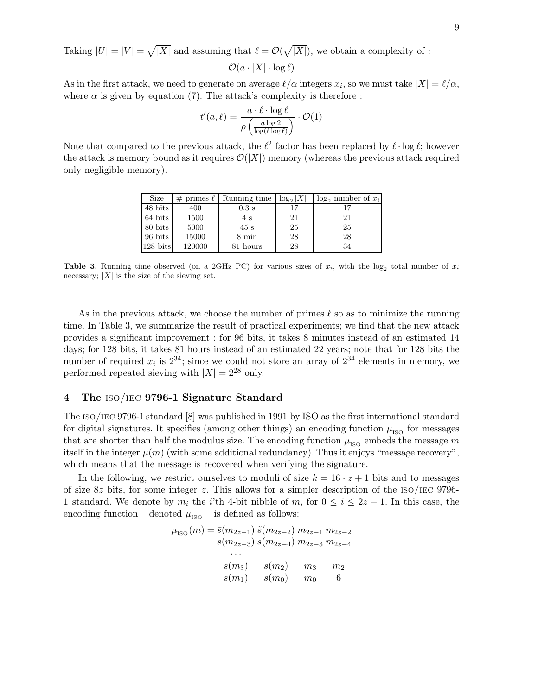Taking  $|U| = |V| = \sqrt{|X|}$  and assuming that  $\ell = \mathcal{O}(\sqrt{|X|})$ , we obtain a complexity of :  $\mathcal{O}(a \cdot |X| \cdot \log \ell)$ 

As in the first attack, we need to generate on average  $\ell/\alpha$  integers  $x_i$ , so we must take  $|X| = \ell/\alpha$ , where  $\alpha$  is given by equation (7). The attack's complexity is therefore :

$$
t'(a,\ell) = \frac{a \cdot \ell \cdot \log \ell}{\rho \left(\frac{a \log 2}{\log(\ell \log \ell)}\right)} \cdot \mathcal{O}(1)
$$

Note that compared to the previous attack, the  $\ell^2$  factor has been replaced by  $\ell \cdot \log \ell$ ; however the attack is memory bound as it requires  $\mathcal{O}(|X|)$  memory (whereas the previous attack required only negligible memory).

| Size                |        | # primes $\ell$ Running time | $\log_2 X $ | $\log_2$ number of $x_i$ |
|---------------------|--------|------------------------------|-------------|--------------------------|
| 48 bits             | 400    | $0.3$ s                      | 17          | 17                       |
| $64 \; \text{bits}$ | 1500   | $4\mathrm{s}$                | 21          | 21                       |
| 80 bits             | 5000   | 45 s                         | 25          | 25                       |
| 96 bits             | 15000  | $8 \text{ min}$              | 28          | 28                       |
| $128$ bits          | 120000 | 81 hours                     | 28          | 34                       |

**Table 3.** Running time observed (on a 2GHz PC) for various sizes of  $x_i$ , with the log<sub>2</sub> total number of  $x_i$ necessary;  $|X|$  is the size of the sieving set.

As in the previous attack, we choose the number of primes  $\ell$  so as to minimize the running time. In Table 3, we summarize the result of practical experiments; we find that the new attack provides a significant improvement : for 96 bits, it takes 8 minutes instead of an estimated 14 days; for 128 bits, it takes 81 hours instead of an estimated 22 years; note that for 128 bits the number of required  $x_i$  is  $2^{34}$ ; since we could not store an array of  $2^{34}$  elements in memory, we performed repeated sieving with  $|X| = 2^{28}$  only.

## 4 The iso/iec 9796-1 Signature Standard

The iso/iec 9796-1 standard [8] was published in 1991 by ISO as the first international standard for digital signatures. It specifies (among other things) an encoding function  $\mu_{\text{ISO}}$  for messages that are shorter than half the modulus size. The encoding function  $\mu_{\text{ISO}}$  embeds the message m itself in the integer  $\mu(m)$  (with some additional redundancy). Thus it enjoys "message recovery", which means that the message is recovered when verifying the signature.

In the following, we restrict ourselves to moduli of size  $k = 16 \cdot z + 1$  bits and to messages of size 8z bits, for some integer z. This allows for a simpler description of the  $iso/IEC$  9796-1 standard. We denote by  $m_i$  the i'th 4-bit nibble of  $m$ , for  $0 \le i \le 2z - 1$ . In this case, the encoding function – denoted  $\mu_{\text{ISO}}$  – is defined as follows:

$$
\mu_{\text{ISO}}(m) = \bar{s}(m_{2z-1}) \, \tilde{s}(m_{2z-2}) \, m_{2z-1} \, m_{2z-2}
$$
\n
$$
s(m_{2z-3}) \, s(m_{2z-4}) \, m_{2z-3} \, m_{2z-4}
$$
\n...\n
$$
s(m_3) \qquad s(m_2) \qquad m_3 \qquad m_2
$$
\n
$$
s(m_1) \qquad s(m_0) \qquad m_0 \qquad 6
$$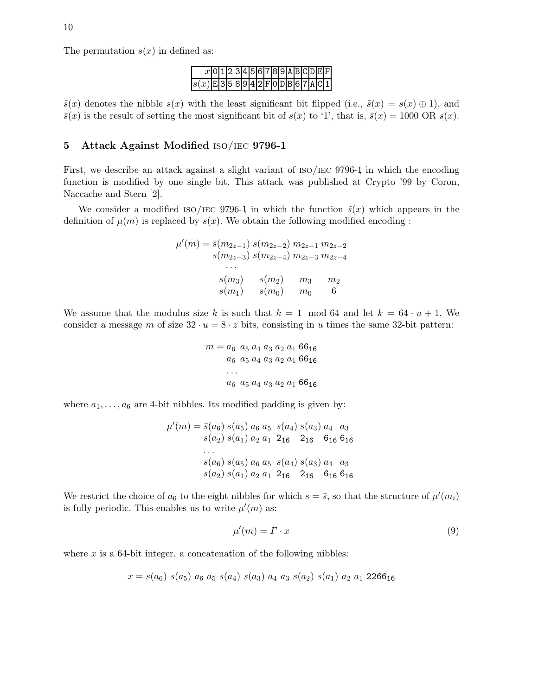

 $\tilde{s}(x)$  denotes the nibble  $s(x)$  with the least significant bit flipped (i.e.,  $\tilde{s}(x) = s(x) \oplus 1$ ), and  $\bar{s}(x)$  is the result of setting the most significant bit of  $s(x)$  to '1', that is,  $\bar{s}(x) = 1000 \text{ OR } s(x)$ .

## 5 Attack Against Modified iso/iec 9796-1

First, we describe an attack against a slight variant of  $ISO/IEC 9796-1$  in which the encoding function is modified by one single bit. This attack was published at Crypto '99 by Coron, Naccache and Stern [2].

We consider a modified ISO/IEC 9796-1 in which the function  $\tilde{s}(x)$  which appears in the definition of  $\mu(m)$  is replaced by  $s(x)$ . We obtain the following modified encoding :

$$
\mu'(m) = \bar{s}(m_{2z-1}) s(m_{2z-2}) m_{2z-1} m_{2z-2}
$$
  
\n
$$
s(m_{2z-3}) s(m_{2z-4}) m_{2z-3} m_{2z-4}
$$
  
\n...  
\n
$$
s(m_3) s(m_2) m_3 m_2
$$
  
\n
$$
s(m_1) s(m_0) m_0 6
$$

We assume that the modulus size k is such that  $k = 1 \mod 64$  and let  $k = 64 \cdot u + 1$ . We consider a message m of size  $32 \cdot u = 8 \cdot z$  bits, consisting in u times the same 32-bit pattern:

$$
m = a_6 \ a_5 \ a_4 \ a_3 \ a_2 \ a_1 \ 66_{16}
$$
  

$$
a_6 \ a_5 \ a_4 \ a_3 \ a_2 \ a_1 \ 66_{16}
$$
  
...  

$$
a_6 \ a_5 \ a_4 \ a_3 \ a_2 \ a_1 \ 66_{16}
$$

where  $a_1, \ldots, a_6$  are 4-bit nibbles. Its modified padding is given by:

$$
\mu'(m) = \bar{s}(a_6) s(a_5) a_6 a_5 s(a_4) s(a_3) a_4 a_3 s(a_2) s(a_1) a_2 a_1 2_{16} 2_{16} 6_{16} 6_{16} \n... s(a_6) s(a_5) a_6 a_5 s(a_4) s(a_3) a_4 a_3 s(a_2) s(a_1) a_2 a_1 2_{16} 2_{16} 6_{16} 6_{16}
$$

We restrict the choice of  $a_6$  to the eight nibbles for which  $s = \bar{s}$ , so that the structure of  $\mu'(m_i)$ is fully periodic. This enables us to write  $\mu'(m)$  as:

$$
\mu'(m) = \Gamma \cdot x \tag{9}
$$

where  $x$  is a 64-bit integer, a concatenation of the following nibbles:

$$
x = s(a_6) s(a_5) a_6 a_5 s(a_4) s(a_3) a_4 a_3 s(a_2) s(a_1) a_2 a_1 2266_{16}
$$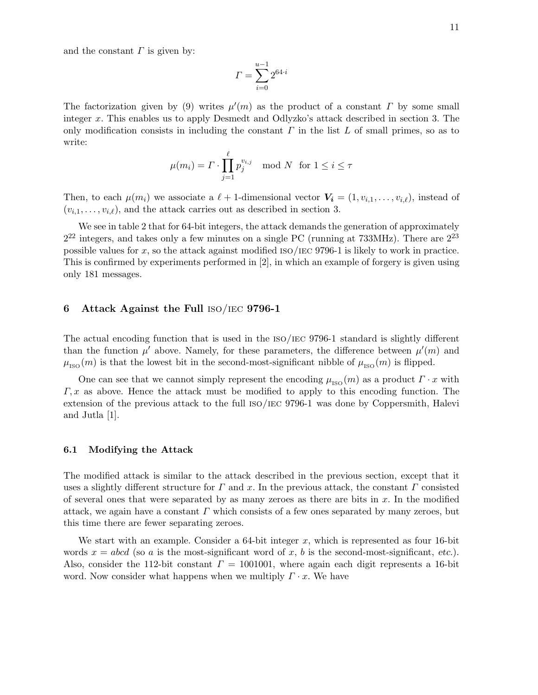and the constant  $\Gamma$  is given by:

$$
\varGamma = \sum_{i=0}^{u-1} 2^{64 \cdot i}
$$

The factorization given by (9) writes  $\mu'(m)$  as the product of a constant  $\Gamma$  by some small integer x. This enables us to apply Desmedt and Odlyzko's attack described in section 3. The only modification consists in including the constant  $\Gamma$  in the list  $L$  of small primes, so as to write:

$$
\mu(m_i) = \Gamma \cdot \prod_{j=1}^{\ell} p_j^{v_{i,j}} \mod N \text{ for } 1 \le i \le \tau
$$

Then, to each  $\mu(m_i)$  we associate a  $\ell + 1$ -dimensional vector  $\mathbf{V_i} = (1, v_{i,1}, \ldots, v_{i,\ell})$ , instead of  $(v_{i,1},\ldots,v_{i,\ell})$ , and the attack carries out as described in section 3.

We see in table 2 that for 64-bit integers, the attack demands the generation of approximately  $2^{22}$  integers, and takes only a few minutes on a single PC (running at 733MHz). There are  $2^{23}$ possible values for  $x$ , so the attack against modified  $ISO/IEC 9796-1$  is likely to work in practice. This is confirmed by experiments performed in [2], in which an example of forgery is given using only 181 messages.

## 6 Attack Against the Full iso/iec 9796-1

The actual encoding function that is used in the iso/iec 9796-1 standard is slightly different than the function  $\mu'$  above. Namely, for these parameters, the difference between  $\mu'(m)$  and  $\mu_{\text{ISO}}(m)$  is that the lowest bit in the second-most-significant nibble of  $\mu_{\text{ISO}}(m)$  is flipped.

One can see that we cannot simply represent the encoding  $\mu_{\text{ISO}}(m)$  as a product  $\Gamma \cdot x$  with  $\Gamma, x$  as above. Hence the attack must be modified to apply to this encoding function. The extension of the previous attack to the full iso/iec 9796-1 was done by Coppersmith, Halevi and Jutla [1].

#### 6.1 Modifying the Attack

The modified attack is similar to the attack described in the previous section, except that it uses a slightly different structure for  $\Gamma$  and  $x$ . In the previous attack, the constant  $\Gamma$  consisted of several ones that were separated by as many zeroes as there are bits in  $x$ . In the modified attack, we again have a constant  $\Gamma$  which consists of a few ones separated by many zeroes, but this time there are fewer separating zeroes.

We start with an example. Consider a  $64$ -bit integer x, which is represented as four 16-bit words  $x = abcd$  (so a is the most-significant word of x, b is the second-most-significant, etc.). Also, consider the 112-bit constant  $\Gamma = 1001001$ , where again each digit represents a 16-bit word. Now consider what happens when we multiply  $\Gamma \cdot x$ . We have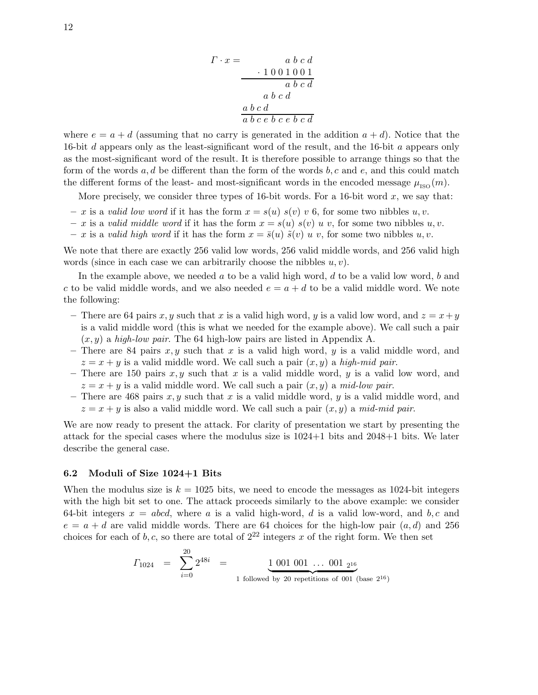$$
\begin{array}{rcl}\n\Gamma \cdot x = & a \ b \ c \ d \\
& & \ 1 \ 0 \ 0 \ 1 \ 0 \ 0 \ 1 \\
& & \ a \ b \ c \ d \\
& & a \ b \ c \ d \\
\hline\n& a \ b \ c \ e \ b \ c \ e \ b \ c \ d\n\end{array}
$$

where  $e = a + d$  (assuming that no carry is generated in the addition  $a + d$ ). Notice that the 16-bit d appears only as the least-significant word of the result, and the 16-bit a appears only as the most-significant word of the result. It is therefore possible to arrange things so that the form of the words  $a, d$  be different than the form of the words  $b, c$  and  $e$ , and this could match the different forms of the least- and most-significant words in the encoded message  $\mu_{\text{ISO}}(m)$ .

More precisely, we consider three types of 16-bit words. For a 16-bit word  $x$ , we say that:

- x is a valid low word if it has the form  $x = s(u) s(v) v 6$ , for some two nibbles u, v.
- x is a valid middle word if it has the form  $x = s(u) s(v) u v$ , for some two nibbles u, v.
- x is a valid high word if it has the form  $x = \bar{s}(u) \, \tilde{s}(v) \, u \, v$ , for some two nibbles u, v.

We note that there are exactly 256 valid low words, 256 valid middle words, and 256 valid high words (since in each case we can arbitrarily choose the nibbles  $u, v$ ).

In the example above, we needed  $a$  to be a valid high word,  $d$  to be a valid low word,  $b$  and c to be valid middle words, and we also needed  $e = a + d$  to be a valid middle word. We note the following:

- There are 64 pairs x, y such that x is a valid high word, y is a valid low word, and  $z = x + y$ is a valid middle word (this is what we needed for the example above). We call such a pair  $(x, y)$  a high-low pair. The 64 high-low pairs are listed in Appendix A.
- There are 84 pairs x, y such that x is a valid high word, y is a valid middle word, and  $z = x + y$  is a valid middle word. We call such a pair  $(x, y)$  a high-mid pair.
- There are 150 pairs x, y such that x is a valid middle word, y is a valid low word, and  $z = x + y$  is a valid middle word. We call such a pair  $(x, y)$  a mid-low pair.
- There are 468 pairs  $x, y$  such that x is a valid middle word, y is a valid middle word, and  $z = x + y$  is also a valid middle word. We call such a pair  $(x, y)$  a mid-mid pair.

We are now ready to present the attack. For clarity of presentation we start by presenting the attack for the special cases where the modulus size is  $1024+1$  bits and  $2048+1$  bits. We later describe the general case.

## 6.2 Moduli of Size 1024+1 Bits

 $\alpha$ 

When the modulus size is  $k = 1025$  bits, we need to encode the messages as 1024-bit integers with the high bit set to one. The attack proceeds similarly to the above example: we consider 64-bit integers  $x = abcd$ , where a is a valid high-word, d is a valid low-word, and b,c and  $e = a + d$  are valid middle words. There are 64 choices for the high-low pair  $(a,d)$  and 256 choices for each of b,c, so there are total of  $2^{22}$  integers x of the right form. We then set

$$
\Gamma_{1024} = \sum_{i=0}^{20} 2^{48i} = \underbrace{1 \ 001 \ 001 \ \dots \ 001 \ 2^{16}}_{1 \ \text{followed by 20 repetitions of 001 (base 2^{16})}
$$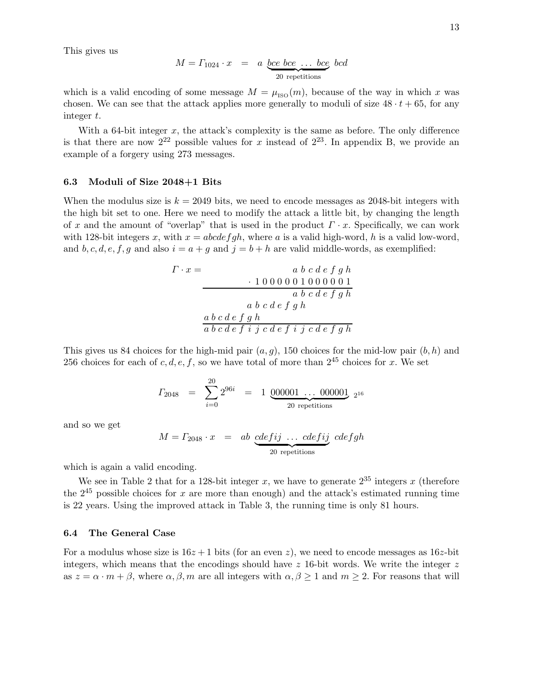This gives us

$$
M = \Gamma_{1024} \cdot x = a \underbrace{bce \text{ } bce \text{ } ... \text{ } bce}_{20 \text{ repetitions}} bcd
$$

which is a valid encoding of some message  $M = \mu_{\text{ISO}}(m)$ , because of the way in which x was chosen. We can see that the attack applies more generally to moduli of size  $48 \cdot t + 65$ , for any integer t.

With a 64-bit integer  $x$ , the attack's complexity is the same as before. The only difference is that there are now  $2^{22}$  possible values for x instead of  $2^{23}$ . In appendix B, we provide an example of a forgery using 273 messages.

#### 6.3 Moduli of Size 2048+1 Bits

When the modulus size is  $k = 2049$  bits, we need to encode messages as 2048-bit integers with the high bit set to one. Here we need to modify the attack a little bit, by changing the length of x and the amount of "overlap" that is used in the product  $\Gamma \cdot x$ . Specifically, we can work with 128-bit integers x, with  $x = abcdefgh$ , where a is a valid high-word, h is a valid low-word, and b, c, d, e, f, g and also  $i = a + g$  and  $j = b + h$  are valid middle-words, as exemplified:

$$
\begin{array}{rcl} \Gamma \cdot x = & a \ b \ c \ d \ e \ f \ g \ h \\ & & \ 1 \ 0 \ 0 \ 0 \ 0 \ 0 \ 1 \ 0 \ 0 \ 0 \ 0 \ 0 \ 1 \\ & & \ a \ b \ c \ d \ e \ f \ g \ h \\ & & \ a \ b \ c \ d \ e \ f \ g \ h \\ & & \ a \ b \ c \ d \ e \ f \ i \ j \ c \ d \ e \ f \ i \ j \ c \ d \ e \ f \ g \ h \end{array}
$$

This gives us 84 choices for the high-mid pair  $(a,g)$ , 150 choices for the mid-low pair  $(b,h)$  and 256 choices for each of c, d, e, f, so we have total of more than  $2^{45}$  choices for x. We set

$$
\varGamma_{2048} = \sum_{i=0}^{20} 2^{96i} = 1 \underbrace{000001 \ldots 000001}_{20 \text{ repetitions}} 2^{16}
$$

and so we get

$$
M = \Gamma_{2048} \cdot x = ab \underbrace{cdefij}_{20 \text{ repetitions}} \dots \underbrace{cdefij}_{20 \text{ repetitions}} cdefgh
$$

which is again a valid encoding.

We see in Table 2 that for a 128-bit integer x, we have to generate  $2^{35}$  integers x (therefore the  $2^{45}$  possible choices for x are more than enough) and the attack's estimated running time is 22 years. Using the improved attack in Table 3, the running time is only 81 hours.

#### 6.4 The General Case

For a modulus whose size is  $16z + 1$  bits (for an even z), we need to encode messages as  $16z$ -bit integers, which means that the encodings should have  $z$  16-bit words. We write the integer  $z$ as  $z = \alpha \cdot m + \beta$ , where  $\alpha, \beta, m$  are all integers with  $\alpha, \beta \ge 1$  and  $m \ge 2$ . For reasons that will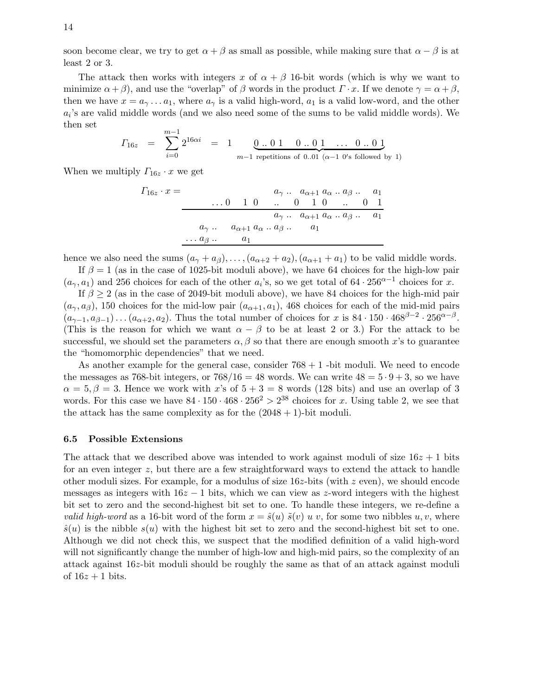soon become clear, we try to get  $\alpha + \beta$  as small as possible, while making sure that  $\alpha - \beta$  is at least 2 or 3.

The attack then works with integers x of  $\alpha + \beta$  16-bit words (which is why we want to minimize  $\alpha + \beta$ , and use the "overlap" of  $\beta$  words in the product  $\Gamma \cdot x$ . If we denote  $\gamma = \alpha + \beta$ , then we have  $x = a_{\gamma} \dots a_1$ , where  $a_{\gamma}$  is a valid high-word,  $a_1$  is a valid low-word, and the other  $a_i$ 's are valid middle words (and we also need some of the sums to be valid middle words). We then set

$$
\Gamma_{16z} = \sum_{i=0}^{m-1} 2^{16\alpha i} = 1 \underbrace{0.. 0 1 \quad 0.. 0 1 \quad \dots \quad 0.. 0 1}_{m-1 \text{ repetitions of } 0..01 \ (\alpha-1 \ 0's followed by } 1)
$$

When we multiply  $\Gamma_{16z} \cdot x$  we get

$$
F_{16z} \cdot x = \n\begin{array}{c}\n a_{\gamma} \dots a_{\alpha+1} a_{\alpha} \dots a_{\beta} \dots a_1 \\
 \dots 0 \quad 1 \quad 0 \quad \dots \quad 0 \quad 1 \quad 0 \quad \dots \quad 0 \quad 1 \\
 a_{\gamma} \dots a_{\alpha+1} a_{\alpha} \dots a_{\beta} \dots a_1 \\
 \dots a_{\beta} \dots a_1\n\end{array}
$$

hence we also need the sums  $(a_{\gamma} + a_{\beta}), \ldots, (a_{\alpha+2} + a_2), (a_{\alpha+1} + a_1)$  to be valid middle words.

If  $\beta = 1$  (as in the case of 1025-bit moduli above), we have 64 choices for the high-low pair  $(a_{\gamma}, a_1)$  and 256 choices for each of the other  $a_i$ 's, so we get total of 64 · 256<sup> $\alpha$ -1</sup> choices for x.

If  $\beta \geq 2$  (as in the case of 2049-bit moduli above), we have 84 choices for the high-mid pair  $(a_{\gamma},a_{\beta})$ , 150 choices for the mid-low pair  $(a_{\alpha+1},a_1)$ , 468 choices for each of the mid-mid pairs  $(a_{\gamma-1}, a_{\beta-1}) \dots (a_{\alpha+2}, a_2)$ . Thus the total number of choices for x is 84 · 150 · 468<sup> $\beta-2$ </sup> · 256<sup> $\alpha-\beta$ </sup>. (This is the reason for which we want  $\alpha - \beta$  to be at least 2 or 3.) For the attack to be successful, we should set the parameters  $\alpha$ ,  $\beta$  so that there are enough smooth x's to guarantee the "homomorphic dependencies" that we need.

As another example for the general case, consider  $768 + 1$  -bit moduli. We need to encode the messages as 768-bit integers, or  $768/16 = 48$  words. We can write  $48 = 5 \cdot 9 + 3$ , so we have  $\alpha = 5, \beta = 3$ . Hence we work with x's of  $5 + 3 = 8$  words (128 bits) and use an overlap of 3 words. For this case we have  $84 \cdot 150 \cdot 468 \cdot 256^2 > 2^{38}$  choices for x. Using table 2, we see that the attack has the same complexity as for the  $(2048 + 1)$ -bit moduli.

## 6.5 Possible Extensions

The attack that we described above was intended to work against moduli of size  $16z + 1$  bits for an even integer  $z$ , but there are a few straightforward ways to extend the attack to handle other moduli sizes. For example, for a modulus of size  $16z$ -bits (with z even), we should encode messages as integers with  $16z - 1$  bits, which we can view as z-word integers with the highest bit set to zero and the second-highest bit set to one. To handle these integers, we re-define a *valid high-word* as a 16-bit word of the form  $x = \hat{s}(u) \,\tilde{s}(v) \,u \,v$ , for some two nibbles  $u, v$ , where  $\hat{s}(u)$  is the nibble  $s(u)$  with the highest bit set to zero and the second-highest bit set to one. Although we did not check this, we suspect that the modified definition of a valid high-word will not significantly change the number of high-low and high-mid pairs, so the complexity of an attack against 16z-bit moduli should be roughly the same as that of an attack against moduli of  $16z + 1$  bits.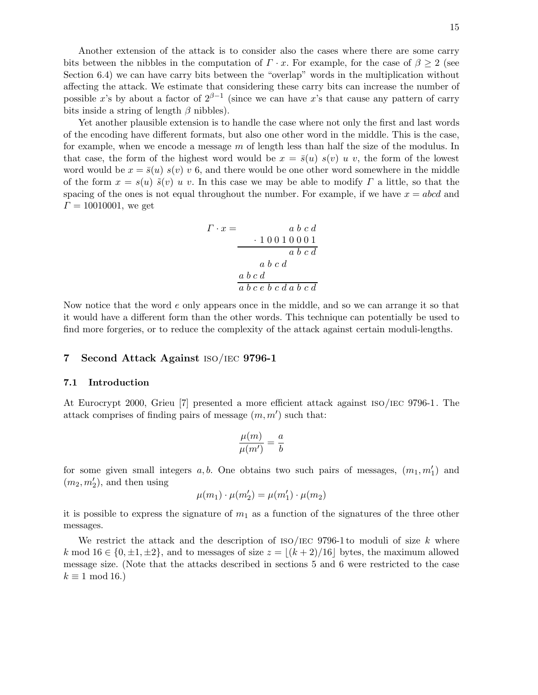Another extension of the attack is to consider also the cases where there are some carry bits between the nibbles in the computation of  $\Gamma \cdot x$ . For example, for the case of  $\beta \geq 2$  (see Section 6.4) we can have carry bits between the "overlap" words in the multiplication without affecting the attack. We estimate that considering these carry bits can increase the number of possible x's by about a factor of  $2^{\beta-1}$  (since we can have x's that cause any pattern of carry bits inside a string of length  $\beta$  nibbles).

Yet another plausible extension is to handle the case where not only the first and last words of the encoding have different formats, but also one other word in the middle. This is the case, for example, when we encode a message m of length less than half the size of the modulus. In that case, the form of the highest word would be  $x = \bar{s}(u) s(v) u v$ , the form of the lowest word would be  $x = \bar{s}(u) s(v) v 6$ , and there would be one other word somewhere in the middle of the form  $x = s(u) \tilde{s}(v) u v$ . In this case we may be able to modify  $\Gamma$  a little, so that the spacing of the ones is not equal throughout the number. For example, if we have  $x = abcd$  and  $\Gamma = 10010001$ , we get

$$
\begin{array}{rcl}\n\Gamma \cdot x = & a \ b \ c \ d \\
& & \ 1 \ 0 \ 0 \ 1 \ 0 \ 0 \ 0 \ 1 \\
& & \ a \ b \ c \ d \\
a \ b \ c \ d \\
a \ b \ c \ e \ b \ c \ d \ a \ b \ c \ d\n\end{array}
$$

Now notice that the word e only appears once in the middle, and so we can arrange it so that it would have a different form than the other words. This technique can potentially be used to find more forgeries, or to reduce the complexity of the attack against certain moduli-lengths.

### 7 Second Attack Against iso/iec 9796-1

## 7.1 Introduction

At Eurocrypt 2000, Grieu [7] presented a more efficient attack against iso/iec 9796-1. The attack comprises of finding pairs of message  $(m, m')$  such that:

$$
\frac{\mu(m)}{\mu(m')} = \frac{a}{b}
$$

for some given small integers  $a, b$ . One obtains two such pairs of messages,  $(m_1, m'_1)$  and  $(m_2, m'_2)$ , and then using

$$
\mu(m_1) \cdot \mu(m'_2) = \mu(m'_1) \cdot \mu(m_2)
$$

it is possible to express the signature of  $m_1$  as a function of the signatures of the three other messages.

We restrict the attack and the description of  $ISO/IEC$  9796-1 to moduli of size k where k mod  $16 \in \{0, \pm 1, \pm 2\}$ , and to messages of size  $z = \lfloor (k+2)/16 \rfloor$  bytes, the maximum allowed message size. (Note that the attacks described in sections 5 and 6 were restricted to the case  $k \equiv 1 \mod 16.$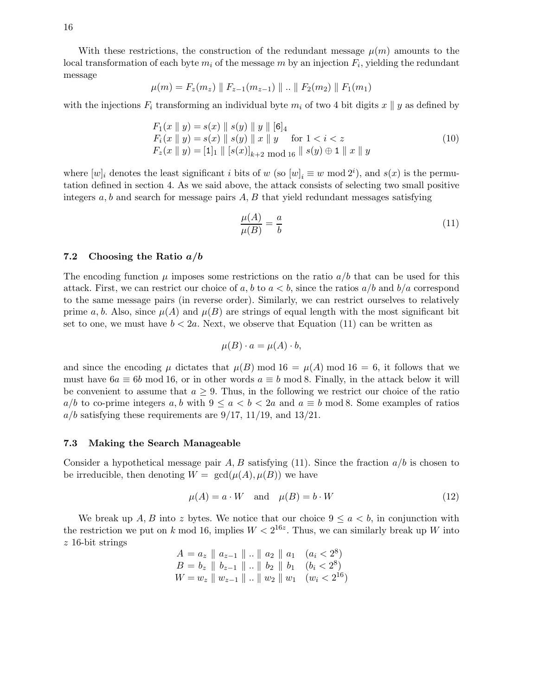With these restrictions, the construction of the redundant message  $\mu(m)$  amounts to the local transformation of each byte  $m_i$  of the message m by an injection  $F_i$ , yielding the redundant message

$$
\mu(m) = F_z(m_z) \parallel F_{z-1}(m_{z-1}) \parallel .. \parallel F_2(m_2) \parallel F_1(m_1)
$$

with the injections  $F_i$  transforming an individual byte  $m_i$  of two 4 bit digits  $x \parallel y$  as defined by

$$
F_1(x \parallel y) = s(x) \parallel s(y) \parallel y \parallel [6]_4
$$
  
\n
$$
F_i(x \parallel y) = s(x) \parallel s(y) \parallel x \parallel y \quad \text{for } 1 < i < z
$$
  
\n
$$
F_z(x \parallel y) = [1]_1 \parallel [s(x)]_{k+2} \mod 16 \parallel s(y) \oplus 1 \parallel x \parallel y
$$
\n(10)

where  $[w]_i$  denotes the least significant i bits of w (so  $[w]_i \equiv w \mod 2^i$ ), and  $s(x)$  is the permutation defined in section 4. As we said above, the attack consists of selecting two small positive integers  $a, b$  and search for message pairs  $A, B$  that yield redundant messages satisfying

$$
\frac{\mu(A)}{\mu(B)} = \frac{a}{b} \tag{11}
$$

#### 7.2 Choosing the Ratio  $a/b$

The encoding function  $\mu$  imposes some restrictions on the ratio  $a/b$  that can be used for this attack. First, we can restrict our choice of a, b to  $a < b$ , since the ratios  $a/b$  and  $b/a$  correspond to the same message pairs (in reverse order). Similarly, we can restrict ourselves to relatively prime a, b. Also, since  $\mu(A)$  and  $\mu(B)$  are strings of equal length with the most significant bit set to one, we must have  $b < 2a$ . Next, we observe that Equation (11) can be written as

$$
\mu(B) \cdot a = \mu(A) \cdot b,
$$

and since the encoding  $\mu$  dictates that  $\mu(B)$  mod 16 =  $\mu(A)$  mod 16 = 6, it follows that we must have  $6a \equiv 6b \mod 16$ , or in other words  $a \equiv b \mod 8$ . Finally, in the attack below it will be convenient to assume that  $a \geq 9$ . Thus, in the following we restrict our choice of the ratio  $a/b$  to co-prime integers a, b with  $9 \le a < b < 2a$  and  $a \equiv b \mod 8$ . Some examples of ratios  $a/b$  satisfying these requirements are 9/17, 11/19, and 13/21.

## 7.3 Making the Search Manageable

Consider a hypothetical message pair A, B satisfying (11). Since the fraction  $a/b$  is chosen to be irreducible, then denoting  $W = \gcd(\mu(A), \mu(B))$  we have

$$
\mu(A) = a \cdot W \quad \text{and} \quad \mu(B) = b \cdot W \tag{12}
$$

We break up A, B into z bytes. We notice that our choice  $9 \le a < b$ , in conjunction with the restriction we put on k mod 16, implies  $W < 2^{16z}$ . Thus, we can similarly break up W into z 16-bit strings

$$
A = a_z \parallel a_{z-1} \parallel ... \parallel a_2 \parallel a_1 \quad (a_i < 2^8)
$$
  
\n
$$
B = b_z \parallel b_{z-1} \parallel ... \parallel b_2 \parallel b_1 \quad (b_i < 2^8)
$$
  
\n
$$
W = w_z \parallel w_{z-1} \parallel ... \parallel w_2 \parallel w_1 \quad (w_i < 2^{16})
$$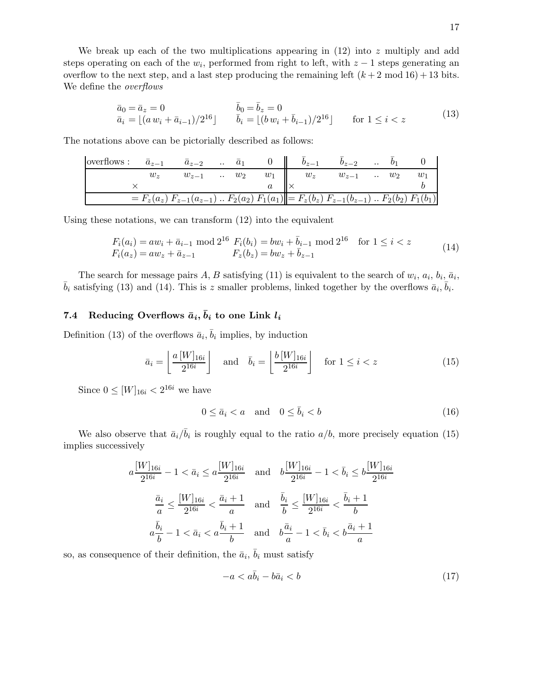We break up each of the two multiplications appearing in  $(12)$  into z multiply and add steps operating on each of the  $w_i$ , performed from right to left, with  $z - 1$  steps generating an overflow to the next step, and a last step producing the remaining left  $(k+2 \mod 16) + 13$  bits. We define the overflows

$$
\bar{a}_0 = \bar{a}_z = 0 \qquad \qquad \bar{b}_0 = \bar{b}_z = 0 \n\bar{a}_i = \lfloor (a w_i + \bar{a}_{i-1})/2^{16} \rfloor \qquad \bar{b}_i = \lfloor (b w_i + \bar{b}_{i-1})/2^{16} \rfloor \qquad \text{for } 1 \le i < z
$$
\n(13)

The notations above can be pictorially described as follows:

| overflows: $\bar{a}_{z-1}$ $\bar{a}_{z-2}$ $\bar{a}_1$ 0 $b_{z-1}$ $b_{z-2}$ $b_1$ |                                                                                                                        |  |  |  |  |       |
|------------------------------------------------------------------------------------|------------------------------------------------------------------------------------------------------------------------|--|--|--|--|-------|
|                                                                                    | $w_z$ $w_{z-1}$ . $w_2$ $w_1$ $w_z$ $w_{z-1}$ . $w_2$                                                                  |  |  |  |  | $w_1$ |
|                                                                                    |                                                                                                                        |  |  |  |  |       |
|                                                                                    | $\overline{E} = F_z(a_z) F_{z-1}(a_{z-1}) \dots F_2(a_2) F_1(a_1) = F_z(b_z) F_{z-1}(b_{z-1}) \dots F_2(b_2) F_1(b_1)$ |  |  |  |  |       |

Using these notations, we can transform (12) into the equivalent

$$
F_i(a_i) = aw_i + \bar{a}_{i-1} \mod 2^{16} \quad F_i(b_i) = bw_i + \bar{b}_{i-1} \mod 2^{16} \quad \text{for } 1 \le i < z
$$
\n
$$
F_i(a_z) = aw_z + \bar{a}_{z-1} \qquad F_z(b_z) = bw_z + \bar{b}_{z-1} \tag{14}
$$

The search for message pairs A, B satisfying (11) is equivalent to the search of  $w_i$ ,  $a_i$ ,  $b_i$ ,  $\bar{a}_i$ ,  $\bar{b}_i$  satisfying (13) and (14). This is z smaller problems, linked together by the overflows  $\bar{a}_i$ ,  $\bar{b}_i$ .

# 7.4 Reducing Overflows  $\bar{a}_i$ ,  $\bar{b}_i$  to one Link  $l_i$

Definition (13) of the overflows  $\bar{a}_i$ ,  $\bar{b}_i$  implies, by induction

$$
\bar{a}_i = \left\lfloor \frac{a\left[W\right]_{16i}}{2^{16i}} \right\rfloor \quad \text{and} \quad \bar{b}_i = \left\lfloor \frac{b\left[W\right]_{16i}}{2^{16i}} \right\rfloor \quad \text{for } 1 \le i < z \tag{15}
$$

Since  $0 \leq [W]_{16i} < 2^{16i}$  we have

$$
0 \le \bar{a}_i < a \quad \text{and} \quad 0 \le \bar{b}_i < b \tag{16}
$$

We also observe that  $\bar{a}_i/\bar{b}_i$  is roughly equal to the ratio  $a/b$ , more precisely equation (15) implies successively

$$
a \frac{[W]_{16i}}{2^{16i}} - 1 < \bar{a}_i \le a \frac{[W]_{16i}}{2^{16i}} \quad \text{and} \quad b \frac{[W]_{16i}}{2^{16i}} - 1 < \bar{b}_i \le b \frac{[W]_{16i}}{2^{16i}}
$$
\n
$$
\frac{\bar{a}_i}{a} \le \frac{[W]_{16i}}{2^{16i}} < \frac{\bar{a}_i + 1}{a} \quad \text{and} \quad \frac{\bar{b}_i}{b} \le \frac{[W]_{16i}}{2^{16i}} < \frac{\bar{b}_i + 1}{b}
$$
\n
$$
a \frac{\bar{b}_i}{b} - 1 < \bar{a}_i < a \frac{\bar{b}_i + 1}{b} \quad \text{and} \quad b \frac{\bar{a}_i}{a} - 1 < \bar{b}_i < b \frac{\bar{a}_i + 1}{a}
$$

so, as consequence of their definition, the  $\bar{a}_i$ ,  $\bar{b}_i$  must satisfy

$$
-a < a\bar{b}_i - b\bar{a}_i < b \tag{17}
$$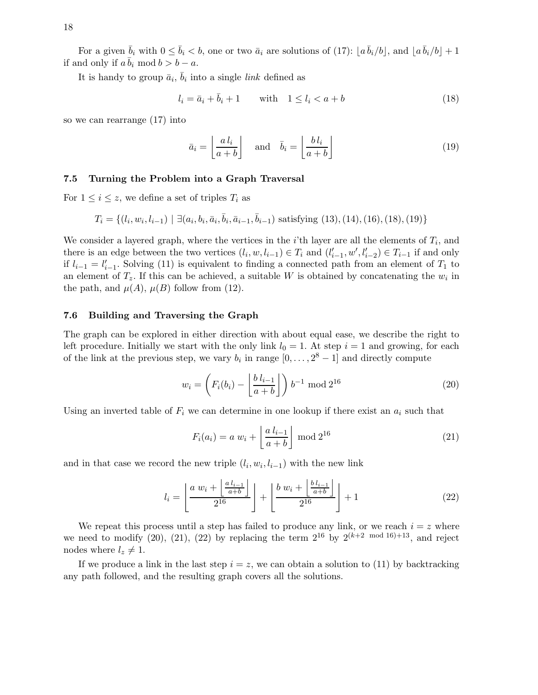For a given  $\bar{b}_i$  with  $0 \le \bar{b}_i < b$ , one or two  $\bar{a}_i$  are solutions of (17):  $|a\,\bar{b}_i/b|$ , and  $|a\,\bar{b}_i/b| + 1$ if and only if  $a\bar{b}_i \mod b > b - a$ .

It is handy to group  $\bar{a}_i$ ,  $\bar{b}_i$  into a single *link* defined as

$$
l_i = \bar{a}_i + \bar{b}_i + 1 \qquad \text{with} \quad 1 \le l_i < a + b \tag{18}
$$

so we can rearrange (17) into

$$
\bar{a}_i = \left\lfloor \frac{a \, l_i}{a+b} \right\rfloor \quad \text{and} \quad \bar{b}_i = \left\lfloor \frac{b \, l_i}{a+b} \right\rfloor \tag{19}
$$

## 7.5 Turning the Problem into a Graph Traversal

For  $1 \leq i \leq z$ , we define a set of triples  $T_i$  as

$$
T_i = \{ (l_i, w_i, l_{i-1}) \mid \exists (a_i, b_i, \bar{a}_i, \bar{b}_i, \bar{a}_{i-1}, \bar{b}_{i-1}) \text{ satisfying } (13), (14), (16), (18), (19) \}
$$

We consider a layered graph, where the vertices in the  $i$ 'th layer are all the elements of  $T_i$ , and there is an edge between the two vertices  $(l_i, w, l_{i-1}) \in T_i$  and  $(l'_{i-1}, w', l'_{i-2}) \in T_{i-1}$  if and only if  $l_{i-1} = l'_{i-1}$ . Solving (11) is equivalent to finding a connected path from an element of  $T_1$  to an element of  $T_z$ . If this can be achieved, a suitable W is obtained by concatenating the  $w_i$  in the path, and  $\mu(A)$ ,  $\mu(B)$  follow from (12).

#### 7.6 Building and Traversing the Graph

The graph can be explored in either direction with about equal ease, we describe the right to left procedure. Initially we start with the only link  $l_0 = 1$ . At step  $i = 1$  and growing, for each of the link at the previous step, we vary  $b_i$  in range  $[0, \ldots, 2^8 - 1]$  and directly compute

$$
w_i = \left( F_i(b_i) - \left\lfloor \frac{b \, l_{i-1}}{a+b} \right\rfloor \right) b^{-1} \mod 2^{16} \tag{20}
$$

Using an inverted table of  $F_i$  we can determine in one lookup if there exist an  $a_i$  such that

$$
F_i(a_i) = a w_i + \left\lfloor \frac{a l_{i-1}}{a+b} \right\rfloor \bmod 2^{16}
$$
 (21)

and in that case we record the new triple  $(l_i, w_i, l_{i-1})$  with the new link

$$
l_i = \left\lfloor \frac{a w_i + \left\lfloor \frac{a l_{i-1}}{a+b} \right\rfloor}{2^{16}} \right\rfloor + \left\lfloor \frac{b w_i + \left\lfloor \frac{b l_{i-1}}{a+b} \right\rfloor}{2^{16}} \right\rfloor + 1 \tag{22}
$$

We repeat this process until a step has failed to produce any link, or we reach  $i = z$  where we need to modify (20), (21), (22) by replacing the term  $2^{16}$  by  $2^{(k+2 \mod 16)+13}$ , and reject nodes where  $l_z \neq 1$ .

If we produce a link in the last step  $i = z$ , we can obtain a solution to (11) by backtracking any path followed, and the resulting graph covers all the solutions.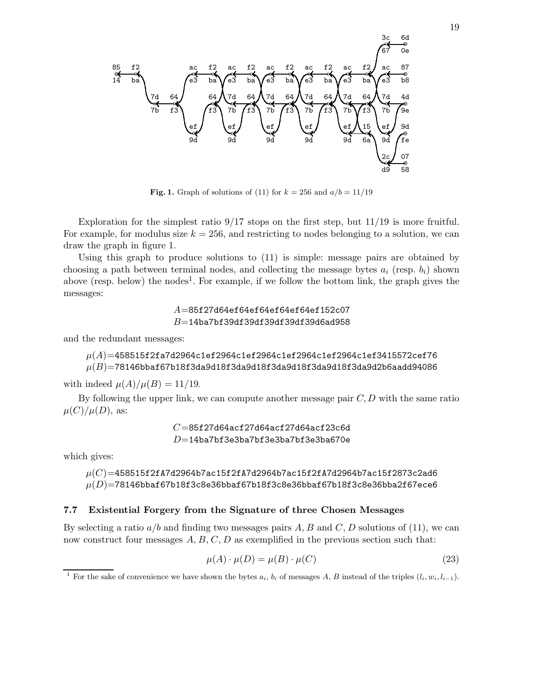❝❛ 85 14 ❜ f2 ba ❜ 7d 7b ❜ 64 f3 ❜ ef 9d ❜ ac e3 ❜ f2 ba ❜ 64 f3 ❜ 7d 7b ❜ ef 9d ❜ ac e3 ❜ f2 ba ❜ 64 f3 ❜ 7d 7b ❜ ef 9d ❜ ac e3 ❜ f2 ba ❜ 64 f3 ❜ 7d 7b ❜ ef 9d ❜ ac e3 ❜ f2 ba ❜ 64 f3 ❜ 7d 7b ❜ ef 9d ❜ ac e3 ❜ f2 ba ❜ 64 f3 ❜ 15 6a ❜ 7d 7b ❜ ef 9d ❜ ac e3 ❜ 2c d9 ❜ 3c 67 ❝❛ 6d 0e ❝❛ 87 b8 ❝❛ 4d 9e ❝❛ 9d fe ❝❛ 07 58

Fig. 1. Graph of solutions of (11) for  $k = 256$  and  $a/b = 11/19$ 

Exploration for the simplest ratio  $9/17$  stops on the first step, but  $11/19$  is more fruitful. For example, for modulus size  $k = 256$ , and restricting to nodes belonging to a solution, we can draw the graph in figure 1.

Using this graph to produce solutions to (11) is simple: message pairs are obtained by choosing a path between terminal nodes, and collecting the message bytes  $a_i$  (resp.  $b_i$ ) shown above (resp. below) the nodes<sup>1</sup>. For example, if we follow the bottom link, the graph gives the messages:

> $A$ =85f27d64ef64ef64ef64ef64ef152c07  $B$ =14ba7bf39df39df39df39df39d6ad958

and the redundant messages:

# $\mu(A)=$ 458515f2fa7d2964c1ef2964c1ef2964c1ef2964c1ef2964c1ef3415572cef76  $\mu(B)=$ 78146bbaf67b18f3da9d18f3da9d18f3da9d18f3da9d18f3da9d2b6aadd94086

with indeed  $\mu(A)/\mu(B) = 11/19$ .

By following the upper link, we can compute another message pair  $C, D$  with the same ratio  $\mu(C)/\mu(D)$ , as:

> $C$ =85f27d64acf27d64acf27d64acf23c6d  $D$ =14ba7bf3e3ba7bf3e3ba7bf3e3ba670e

which gives:

 $\mu(C){=}$ 458515f2fA7d2964b7ac15f2fA7d2964b7ac15f2fA7d2964b7ac15f2873c2ad6  $\mu(D)=$ 78146bbaf67b18f3c8e36bbaf67b18f3c8e36bbaf67b18f3c8e36bba2f67ece6

## 7.7 Existential Forgery from the Signature of three Chosen Messages

By selecting a ratio  $a/b$  and finding two messages pairs A, B and C, D solutions of (11), we can now construct four messages  $A, B, C, D$  as exemplified in the previous section such that:

$$
\mu(A) \cdot \mu(D) = \mu(B) \cdot \mu(C) \tag{23}
$$

<sup>&</sup>lt;sup>1</sup> For the sake of convenience we have shown the bytes  $a_i$ ,  $b_i$  of messages A, B instead of the triples  $(l_i, w_i, l_{i-1})$ .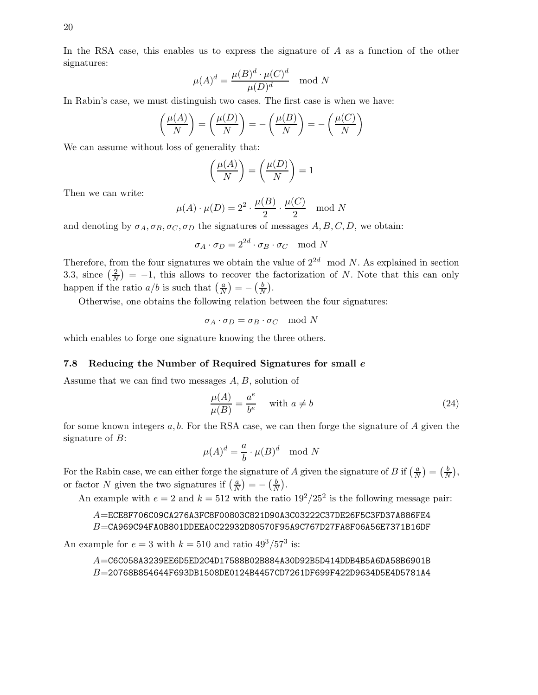In the RSA case, this enables us to express the signature of A as a function of the other signatures:

$$
\mu(A)^d = \frac{\mu(B)^d \cdot \mu(C)^d}{\mu(D)^d} \mod N
$$

In Rabin's case, we must distinguish two cases. The first case is when we have:

$$
\left(\frac{\mu(A)}{N}\right) = \left(\frac{\mu(D)}{N}\right) = -\left(\frac{\mu(B)}{N}\right) = -\left(\frac{\mu(C)}{N}\right)
$$

We can assume without loss of generality that:

$$
\left(\frac{\mu(A)}{N}\right) = \left(\frac{\mu(D)}{N}\right) = 1
$$

Then we can write:

$$
\mu(A) \cdot \mu(D) = 2^2 \cdot \frac{\mu(B)}{2} \cdot \frac{\mu(C)}{2} \mod N
$$

and denoting by  $\sigma_A, \sigma_B, \sigma_C, \sigma_D$  the signatures of messages A, B, C, D, we obtain:

$$
\sigma_A \cdot \sigma_D = 2^{2d} \cdot \sigma_B \cdot \sigma_C \mod N
$$

Therefore, from the four signatures we obtain the value of  $2^{2d}$  mod N. As explained in section 3.3, since  $\left(\frac{2}{\lambda}\right)$  $\left(\frac{2}{N}\right) = -1$ , this allows to recover the factorization of N. Note that this can only happen if the ratio  $a/b$  is such that  $\left(\frac{a}{N}\right)$  $\frac{a}{N}$ ) =  $-\left(\frac{b}{N}\right)$  $\frac{b}{N}$ .

Otherwise, one obtains the following relation between the four signatures:

$$
\sigma_A \cdot \sigma_D = \sigma_B \cdot \sigma_C \mod N
$$

which enables to forge one signature knowing the three others.

#### 7.8 Reducing the Number of Required Signatures for small e

Assume that we can find two messages  $A, B$ , solution of

$$
\frac{\mu(A)}{\mu(B)} = \frac{a^e}{b^e} \quad \text{with } a \neq b \tag{24}
$$

for some known integers  $a, b$ . For the RSA case, we can then forge the signature of A given the signature of  $B$ :

$$
\mu(A)^d = \frac{a}{b} \cdot \mu(B)^d \mod N
$$

For the Rabin case, we can either forge the signature of A given the signature of B if  $\left(\frac{a}{N}\right)$  $\frac{a}{N}$ ) =  $\left(\frac{b}{\Lambda}\right)$  $\frac{b}{N}$ ), or factor N given the two signatures if  $\left(\frac{a}{b}\right)$  $\frac{a}{N}$ ) =  $-\left(\frac{b}{N}\right)$  $\frac{b}{N}$ .

An example with  $e = 2$  and  $k = 512$  with the ratio  $19^2/25^2$  is the following message pair:

A=ECE8F706C09CA276A3FC8F00803C821D90A3C03222C37DE26F5C3FD37A886FE4 B=CA969C94FA0B801DDEEA0C22932D80570F95A9C767D27FA8F06A56E7371B16DF

An example for  $e = 3$  with  $k = 510$  and ratio  $49^3/57^3$  is:

 $A$ =C6C058A3239EE6D5ED2C4D17588B02B884A30D92B5D414DDB4B5A6DA58B6901B B=20768B854644F693DB1508DE0124B4457CD7261DF699F422D9634D5E4D5781A4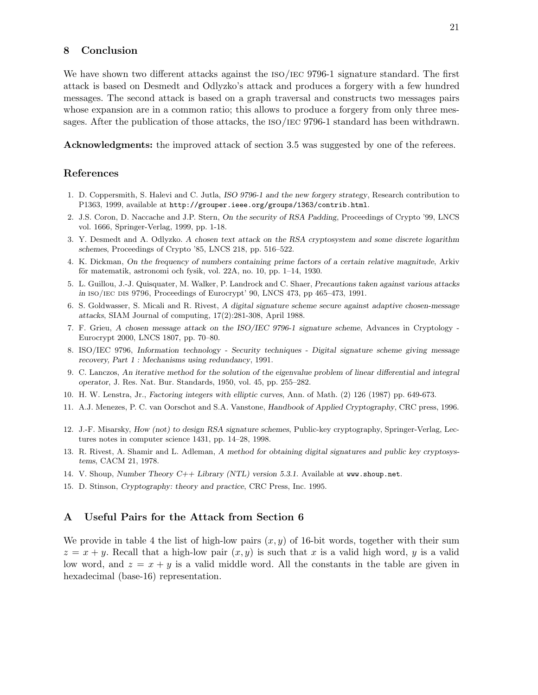## 8 Conclusion

We have shown two different attacks against the ISO/IEC 9796-1 signature standard. The first attack is based on Desmedt and Odlyzko's attack and produces a forgery with a few hundred messages. The second attack is based on a graph traversal and constructs two messages pairs whose expansion are in a common ratio; this allows to produce a forgery from only three messages. After the publication of those attacks, the ISO/IEC 9796-1 standard has been withdrawn.

Acknowledgments: the improved attack of section 3.5 was suggested by one of the referees.

## References

- 1. D. Coppersmith, S. Halevi and C. Jutla, ISO 9796-1 and the new forgery strategy, Research contribution to P1363, 1999, available at http://grouper.ieee.org/groups/1363/contrib.html.
- 2. J.S. Coron, D. Naccache and J.P. Stern, On the security of RSA Padding, Proceedings of Crypto '99, LNCS vol. 1666, Springer-Verlag, 1999, pp. 1-18.
- 3. Y. Desmedt and A. Odlyzko. A chosen text attack on the RSA cryptosystem and some discrete logarithm schemes, Proceedings of Crypto '85, LNCS 218, pp. 516–522.
- 4. K. Dickman, On the frequency of numbers containing prime factors of a certain relative magnitude, Arkiv för matematik, astronomi och fysik, vol. 22A, no. 10, pp. 1–14, 1930.
- 5. L. Guillou, J.-J. Quisquater, M. Walker, P. Landrock and C. Shaer, Precautions taken against various attacks in iso/iec dis 9796, Proceedings of Eurocrypt' 90, LNCS 473, pp 465–473, 1991.
- 6. S. Goldwasser, S. Micali and R. Rivest, A digital signature scheme secure against adaptive chosen-message attacks, SIAM Journal of computing, 17(2):281-308, April 1988.
- 7. F. Grieu, A chosen message attack on the ISO/IEC 9796-1 signature scheme, Advances in Cryptology Eurocrypt 2000, LNCS 1807, pp. 70–80.
- 8. ISO/IEC 9796, Information technology Security techniques Digital signature scheme giving message recovery, Part 1 : Mechanisms using redundancy, 1991.
- 9. C. Lanczos, An iterative method for the solution of the eigenvalue problem of linear differential and integral operator, J. Res. Nat. Bur. Standards, 1950, vol. 45, pp. 255–282.
- 10. H. W. Lenstra, Jr., Factoring integers with elliptic curves, Ann. of Math. (2) 126 (1987) pp. 649-673.
- 11. A.J. Menezes, P. C. van Oorschot and S.A. Vanstone, Handbook of Applied Cryptography, CRC press, 1996.
- 12. J.-F. Misarsky, How (not) to design RSA signature schemes, Public-key cryptography, Springer-Verlag, Lectures notes in computer science 1431, pp. 14–28, 1998.
- 13. R. Rivest, A. Shamir and L. Adleman, A method for obtaining digital signatures and public key cryptosystems, CACM 21, 1978.
- 14. V. Shoup, Number Theory C++ Library (NTL) version 5.3.1. Available at www.shoup.net.
- 15. D. Stinson, Cryptography: theory and practice, CRC Press, Inc. 1995.

## A Useful Pairs for the Attack from Section 6

We provide in table 4 the list of high-low pairs  $(x, y)$  of 16-bit words, together with their sum  $z = x + y$ . Recall that a high-low pair  $(x, y)$  is such that x is a valid high word, y is a valid low word, and  $z = x + y$  is a valid middle word. All the constants in the table are given in hexadecimal (base-16) representation.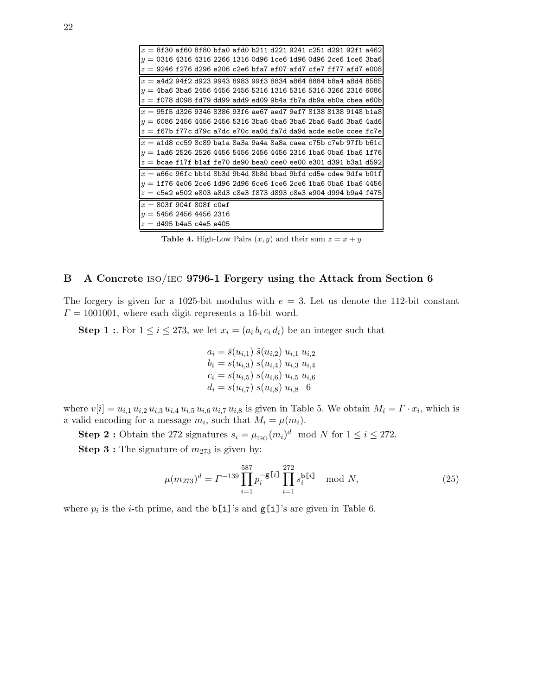| $x=8$ f30 af60 8f80 bfa0 afd0 b211 d221 9241 c251 d291 92f1 a462                                                                                                                                           |  |  |  |  |  |  |
|------------------------------------------------------------------------------------------------------------------------------------------------------------------------------------------------------------|--|--|--|--|--|--|
| $y=$ 0316 4316 4316 2266 1316 0d96 1ce6 1d96 0d96 2ce6 1ce6 3ba6                                                                                                                                           |  |  |  |  |  |  |
| $z=\,$ 9246 f276 d296 e206 c2e6 bfa7 ef07 afd7 cfe7 ff77 afd7 e008                                                                                                                                         |  |  |  |  |  |  |
| $x =$ a4d2 94f2 d923 9943 8983 99f3 8834 a864 8884 b8a4 a8d4 8585                                                                                                                                          |  |  |  |  |  |  |
| $y = 4$ ba6 3ba6 2456 4456 2456 5316 1316 5316 5316 3266 2316 6086                                                                                                                                         |  |  |  |  |  |  |
| $z=\texttt{f}$ 078 d098 fd79 dd99 add9 ed09 9b4a fb7a db9a eb0a cbea e60b                                                                                                                                  |  |  |  |  |  |  |
| $x = 95$ f5 d326 9346 8386 93f6 ae67 aed7 9ef7 8138 8138 9148 b1a8                                                                                                                                         |  |  |  |  |  |  |
| $y=6086$ 2456 4456 2456 5316 3ba6 4ba6 3ba6 2ba6 6ad6 3ba6 4ad6                                                                                                                                            |  |  |  |  |  |  |
| $z=\mathtt{f67b}$ <code>f77c</code> d79c <code>a7dc</code> <code>e70c</code> <code>ea0d</code> <code>fa7d</code> <code>da9d</code> <code>acde</code> <code>ec0e</code> <code>ccee</code> <code>fc7e</code> |  |  |  |  |  |  |
|                                                                                                                                                                                                            |  |  |  |  |  |  |
| $x=$ a1d8 cc59 8c89 ba1a 8a3a 9a4a 8a8a caea c75b c7eb 97fb b61c                                                                                                                                           |  |  |  |  |  |  |
| $y = 1$ ad6 2526 2526 4456 5456 2456 4456 2316 1ba6 0ba6 1ba6 1f76                                                                                                                                         |  |  |  |  |  |  |
| $z=\,$ bcae f17f b1af fe70 de90 bea0 cee0 ee00 e301 d391 b3a1 d592                                                                                                                                         |  |  |  |  |  |  |
| $x =$ a66c 96fc bb1d 8b3d 9b4d 8b8d bbad 9bfd cd5e cdee 9dfe b01f                                                                                                                                          |  |  |  |  |  |  |
| $y = 1$ f76 4e06 2ce6 1d96 2d96 6ce6 1ce6 2ce6 1ba6 0ba6 1ba6 4456                                                                                                                                         |  |  |  |  |  |  |
| $z={\tt c}$ 5e2 e502 e803 a8d3 c8e3 f873 d893 c8e3 e904 d994 b9a4 f475                                                                                                                                     |  |  |  |  |  |  |
| $x = 803f 904f 808f$ c0ef                                                                                                                                                                                  |  |  |  |  |  |  |
| $y = 5456245644562316$                                                                                                                                                                                     |  |  |  |  |  |  |

**Table 4.** High-Low Pairs  $(x, y)$  and their sum  $z = x + y$ 

## B A Concrete iso/iec 9796-1 Forgery using the Attack from Section 6

The forgery is given for a 1025-bit modulus with  $e = 3$ . Let us denote the 112-bit constant  $\Gamma = 1001001$ , where each digit represents a 16-bit word.

**Step 1 :** For  $1 \leq i \leq 273$ , we let  $x_i = (a_i b_i c_i d_i)$  be an integer such that

$$
a_i = \bar{s}(u_{i,1}) \ \tilde{s}(u_{i,2}) \ u_{i,1} \ u_{i,2}
$$
  
\n
$$
b_i = s(u_{i,3}) \ s(u_{i,4}) \ u_{i,3} \ u_{i,4}
$$
  
\n
$$
c_i = s(u_{i,5}) \ s(u_{i,6}) \ u_{i,5} \ u_{i,6}
$$
  
\n
$$
d_i = s(u_{i,7}) \ s(u_{i,8}) \ u_{i,8} \quad 6
$$

where  $v[i] = u_{i,1} u_{i,2} u_{i,3} u_{i,4} u_{i,5} u_{i,6} u_{i,7} u_{i,8}$  is given in Table 5. We obtain  $M_i = \Gamma \cdot x_i$ , which is a valid encoding for a message  $m_i$ , such that  $M_i = \mu(m_i)$ .

**Step 2**: Obtain the 272 signatures  $s_i = \mu_{\text{ISO}}(m_i)^d \mod N$  for  $1 \le i \le 272$ .

**Step 3 :** The signature of  $m_{273}$  is given by:

$$
\mu(m_{273})^d = \Gamma^{-139} \prod_{i=1}^{587} p_i^{-g[i]} \prod_{i=1}^{272} s_i^{b[i]} \mod N,
$$
\n(25)

where  $p_i$  is the *i*-th prime, and the **b**[i]'s and **g**[i]'s are given in Table 6.